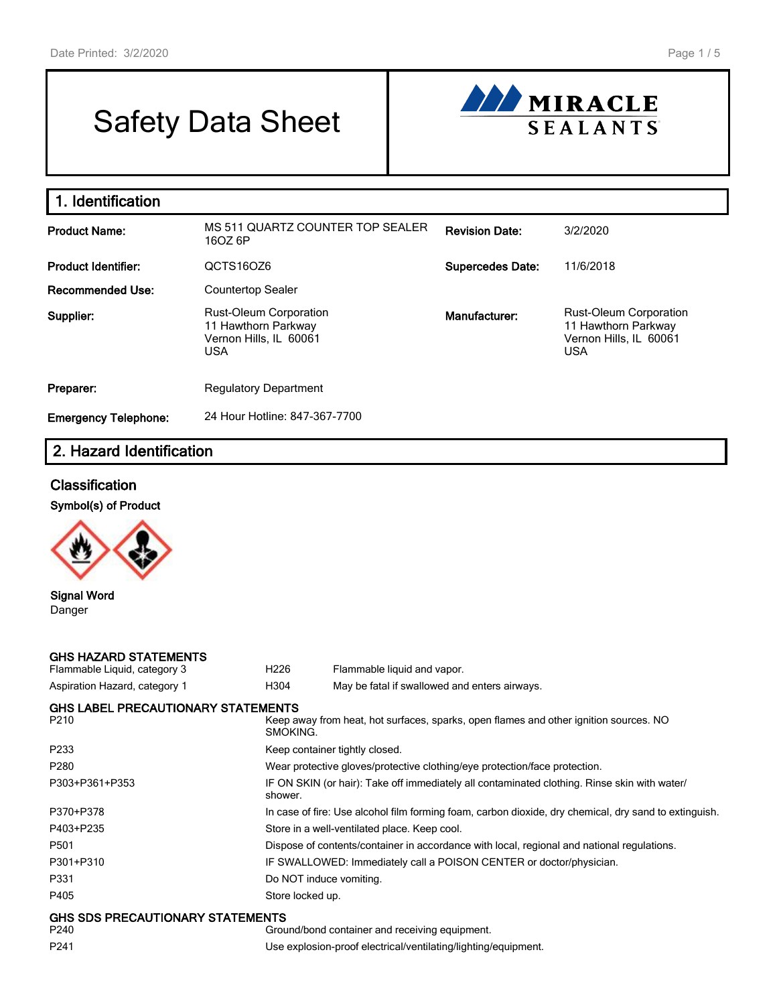# Safety Data Sheet



| 1. Identification           |                                                                                              |                         |                                                                                              |
|-----------------------------|----------------------------------------------------------------------------------------------|-------------------------|----------------------------------------------------------------------------------------------|
| <b>Product Name:</b>        | MS 511 QUARTZ COUNTER TOP SEALER<br>16OZ 6P                                                  | <b>Revision Date:</b>   | 3/2/2020                                                                                     |
| <b>Product Identifier:</b>  | QCTS16OZ6                                                                                    | <b>Supercedes Date:</b> | 11/6/2018                                                                                    |
| <b>Recommended Use:</b>     | <b>Countertop Sealer</b>                                                                     |                         |                                                                                              |
| Supplier:                   | <b>Rust-Oleum Corporation</b><br>11 Hawthorn Parkway<br>Vernon Hills, IL 60061<br><b>USA</b> | Manufacturer:           | <b>Rust-Oleum Corporation</b><br>11 Hawthorn Parkway<br>Vernon Hills, IL 60061<br><b>USA</b> |
| Preparer:                   | <b>Regulatory Department</b>                                                                 |                         |                                                                                              |
| <b>Emergency Telephone:</b> | 24 Hour Hotline: 847-367-7700                                                                |                         |                                                                                              |

# 2. Hazard Identification

## **Classification**



Signal Word Danger

## GHS HAZARD STATEMENTS

| Flammable Liquid, category 3              | H <sub>226</sub> | Flammable liquid and vapor.                                |
|-------------------------------------------|------------------|------------------------------------------------------------|
| Aspiration Hazard, category 1             | H304             | May be fatal if swallowed and enters airways.              |
| <b>GHS LABEL PRECAUTIONARY STATEMENTS</b> |                  |                                                            |
| P <sub>210</sub>                          |                  | Keep away from heat, hot surfaces, sparks, open flames and |

| P210                             | Keep away from heat, hot surfaces, sparks, open flames and other ignition sources. NO<br>SMOKING.       |
|----------------------------------|---------------------------------------------------------------------------------------------------------|
| P233                             | Keep container tightly closed.                                                                          |
| P280                             | Wear protective gloves/protective clothing/eye protection/face protection.                              |
| P303+P361+P353                   | IF ON SKIN (or hair): Take off immediately all contaminated clothing. Rinse skin with water/<br>shower. |
| P370+P378                        | In case of fire: Use alcohol film forming foam, carbon dioxide, dry chemical, dry sand to extinguish.   |
| P403+P235                        | Store in a well-ventilated place. Keep cool.                                                            |
| P501                             | Dispose of contents/container in accordance with local, regional and national regulations.              |
| P301+P310                        | IF SWALLOWED: Immediately call a POISON CENTER or doctor/physician.                                     |
| P331                             | Do NOT induce vomiting.                                                                                 |
| P405                             | Store locked up.                                                                                        |
| GHS SDS PRECAUTIONARY STATEMENTS |                                                                                                         |

P240 Ground/bond container and receiving equipment. P241 Use explosion-proof electrical/ventilating/lighting/equipment.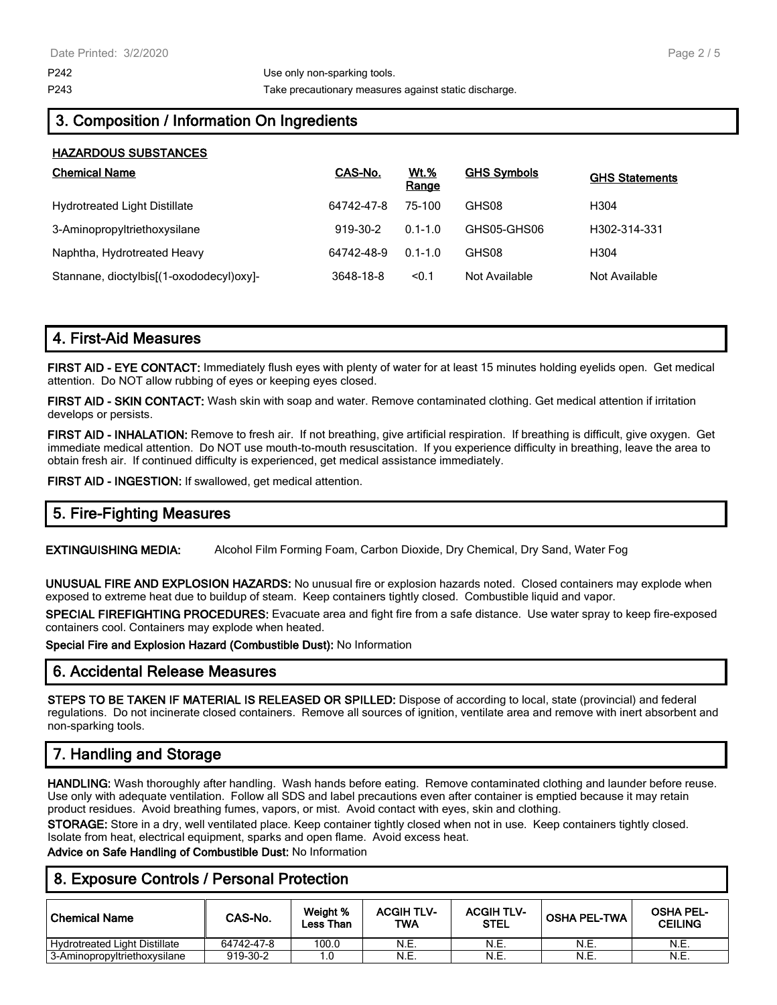HAZARDOUS SUBSTANCES

P243 Take precautionary measures against static discharge.

# 3. Composition / Information On Ingredients

| <b>NAZARDUUS SUDSTANGES</b>              |            |                      |                    |                       |
|------------------------------------------|------------|----------------------|--------------------|-----------------------|
| <b>Chemical Name</b>                     | CAS-No.    | <b>Wt.%</b><br>Range | <b>GHS Symbols</b> | <b>GHS Statements</b> |
| <b>Hydrotreated Light Distillate</b>     | 64742-47-8 | 75-100               | GHS08              | H <sub>304</sub>      |
| 3-Aminopropyltriethoxysilane             | 919-30-2   | $0.1 - 1.0$          | GHS05-GHS06        | H302-314-331          |
| Naphtha, Hydrotreated Heavy              | 64742-48-9 | $0.1 - 1.0$          | GHS08              | H <sub>304</sub>      |
| Stannane, dioctylbis[(1-oxododecyl)oxy]- | 3648-18-8  | < 0.1                | Not Available      | Not Available         |

# 4. First-Aid Measures

FIRST AID - EYE CONTACT: Immediately flush eyes with plenty of water for at least 15 minutes holding eyelids open. Get medical attention. Do NOT allow rubbing of eyes or keeping eyes closed.

FIRST AID - SKIN CONTACT: Wash skin with soap and water. Remove contaminated clothing. Get medical attention if irritation develops or persists.

FIRST AID - INHALATION: Remove to fresh air. If not breathing, give artificial respiration. If breathing is difficult, give oxygen. Get immediate medical attention. Do NOT use mouth-to-mouth resuscitation. If you experience difficulty in breathing, leave the area to obtain fresh air. If continued difficulty is experienced, get medical assistance immediately.

FIRST AID - INGESTION: If swallowed, get medical attention.

# 5. Fire-Fighting Measures

EXTINGUISHING MEDIA: Alcohol Film Forming Foam, Carbon Dioxide, Dry Chemical, Dry Sand, Water Fog

UNUSUAL FIRE AND EXPLOSION HAZARDS: No unusual fire or explosion hazards noted. Closed containers may explode when exposed to extreme heat due to buildup of steam. Keep containers tightly closed. Combustible liquid and vapor.

SPECIAL FIREFIGHTING PROCEDURES: Evacuate area and fight fire from a safe distance. Use water spray to keep fire-exposed containers cool. Containers may explode when heated.

Special Fire and Explosion Hazard (Combustible Dust): No Information

## 6. Accidental Release Measures

STEPS TO BE TAKEN IF MATERIAL IS RELEASED OR SPILLED: Dispose of according to local, state (provincial) and federal regulations. Do not incinerate closed containers. Remove all sources of ignition, ventilate area and remove with inert absorbent and non-sparking tools.

# 7. Handling and Storage

HANDLING: Wash thoroughly after handling. Wash hands before eating. Remove contaminated clothing and launder before reuse. Use only with adequate ventilation. Follow all SDS and label precautions even after container is emptied because it may retain product residues. Avoid breathing fumes, vapors, or mist. Avoid contact with eyes, skin and clothing.

STORAGE: Store in a dry, well ventilated place. Keep container tightly closed when not in use. Keep containers tightly closed. Isolate from heat, electrical equipment, sparks and open flame. Avoid excess heat.

Advice on Safe Handling of Combustible Dust: No Information

## 8. Exposure Controls / Personal Protection

| <b>Chemical Name</b>                 | CAS-No.    | Weight %<br>Less Than | <b>ACGIH TLV-</b><br>TWA | <b>ACGIH TLV-</b><br><b>STEL</b> | <b>OSHA PEL-TWA</b> | <b>OSHA PEL-</b><br><b>CEILING</b> |
|--------------------------------------|------------|-----------------------|--------------------------|----------------------------------|---------------------|------------------------------------|
| <b>Hydrotreated Light Distillate</b> | 64742-47-8 | 100.0                 | N.E.                     | N.E.                             | N.E.                | N.E.                               |
| 3-Aminopropyltriethoxysilane         | 919-30-2   |                       | N.E.                     | N.E.                             | N.E.                | N.E.                               |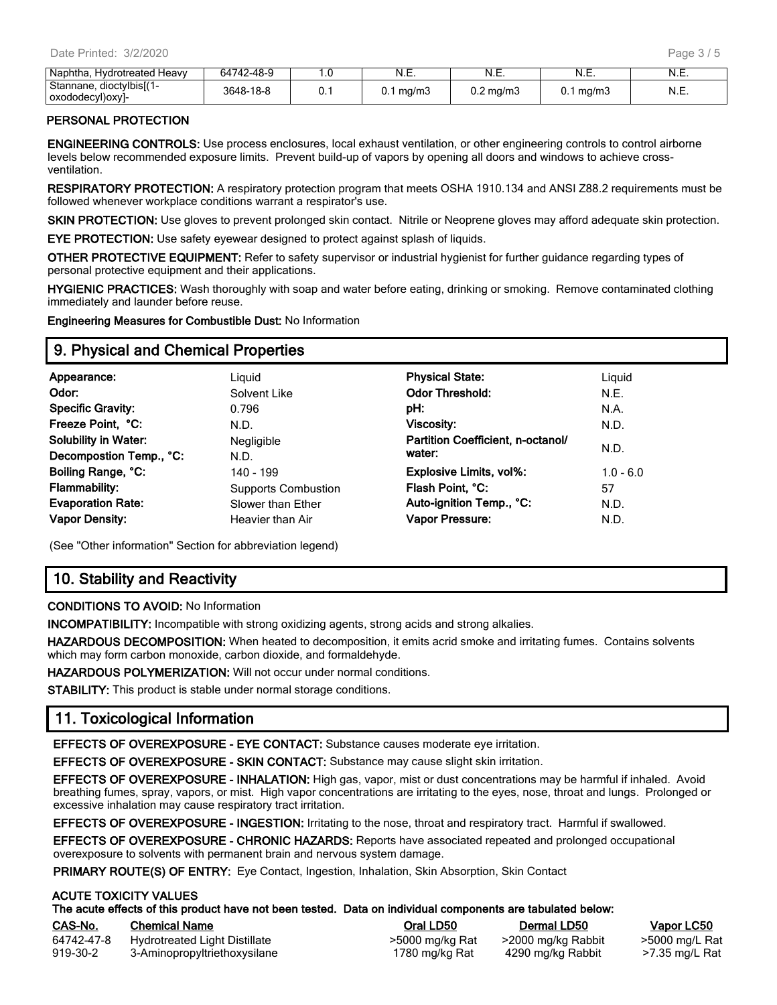| Napi<br>Heavv<br>Irotreated<br>-Ivdra         | 48-9<br>61712<br>h4 | . ب  | $\overline{\phantom{a}}$<br>IN.E. | N<br>᠃      | N<br>.      | N<br>. |
|-----------------------------------------------|---------------------|------|-----------------------------------|-------------|-------------|--------|
| dioctylbis[(1<br>Stannane.<br>- 1             | $\sim$              | ∪. ∣ | ma/mJ                             | ma/m<br>U.Z | . ma/r<br>. | N<br>. |
| -decyl)oxyl<br>oxodr.<br>. . <b>,</b> , , , , |                     |      |                                   |             |             |        |

#### PERSONAL PROTECTION

ENGINEERING CONTROLS: Use process enclosures, local exhaust ventilation, or other engineering controls to control airborne levels below recommended exposure limits. Prevent build-up of vapors by opening all doors and windows to achieve crossventilation.

RESPIRATORY PROTECTION: A respiratory protection program that meets OSHA 1910.134 and ANSI Z88.2 requirements must be followed whenever workplace conditions warrant a respirator's use.

SKIN PROTECTION: Use gloves to prevent prolonged skin contact. Nitrile or Neoprene gloves may afford adequate skin protection.

EYE PROTECTION: Use safety eyewear designed to protect against splash of liquids.

OTHER PROTECTIVE EQUIPMENT: Refer to safety supervisor or industrial hygienist for further guidance regarding types of personal protective equipment and their applications.

HYGIENIC PRACTICES: Wash thoroughly with soap and water before eating, drinking or smoking. Remove contaminated clothing immediately and launder before reuse.

Engineering Measures for Combustible Dust: No Information

## 9. Physical and Chemical Properties

| Appearance:                 | Liguid                     | <b>Physical State:</b>            | Liguid      |
|-----------------------------|----------------------------|-----------------------------------|-------------|
| Odor:                       | Solvent Like               | <b>Odor Threshold:</b>            | N.E.        |
| <b>Specific Gravity:</b>    | 0.796                      | pH:                               | N.A.        |
| Freeze Point, °C:           | N.D.                       | Viscosity:                        | N.D.        |
| <b>Solubility in Water:</b> | <b>Negligible</b>          | Partition Coefficient, n-octanol/ |             |
| Decompostion Temp., °C:     | N.D.                       | water:                            | N.D.        |
| Boiling Range, °C:          | 140 - 199                  | <b>Explosive Limits, vol%:</b>    | $1.0 - 6.0$ |
| <b>Flammability:</b>        | <b>Supports Combustion</b> | Flash Point, °C:                  | 57          |
| <b>Evaporation Rate:</b>    | Slower than Ether          | Auto-ignition Temp., °C:          | N.D.        |
| <b>Vapor Density:</b>       | Heavier than Air           | Vapor Pressure:                   | N.D.        |
|                             |                            |                                   |             |

(See "Other information" Section for abbreviation legend)

# 10. Stability and Reactivity

#### CONDITIONS TO AVOID: No Information

INCOMPATIBILITY: Incompatible with strong oxidizing agents, strong acids and strong alkalies.

HAZARDOUS DECOMPOSITION: When heated to decomposition, it emits acrid smoke and irritating fumes. Contains solvents which may form carbon monoxide, carbon dioxide, and formaldehyde.

HAZARDOUS POLYMERIZATION: Will not occur under normal conditions.

STABILITY: This product is stable under normal storage conditions.

# 11. Toxicological Information

EFFECTS OF OVEREXPOSURE - EYE CONTACT: Substance causes moderate eye irritation.

EFFECTS OF OVEREXPOSURE - SKIN CONTACT: Substance may cause slight skin irritation.

EFFECTS OF OVEREXPOSURE - INHALATION: High gas, vapor, mist or dust concentrations may be harmful if inhaled. Avoid breathing fumes, spray, vapors, or mist. High vapor concentrations are irritating to the eyes, nose, throat and lungs. Prolonged or excessive inhalation may cause respiratory tract irritation.

EFFECTS OF OVEREXPOSURE - INGESTION: Irritating to the nose, throat and respiratory tract. Harmful if swallowed.

EFFECTS OF OVEREXPOSURE - CHRONIC HAZARDS: Reports have associated repeated and prolonged occupational overexposure to solvents with permanent brain and nervous system damage.

PRIMARY ROUTE(S) OF ENTRY: Eye Contact, Ingestion, Inhalation, Skin Absorption, Skin Contact

#### ACUTE TOXICITY VALUES

|                        | The acute effects of this product have not been tested. Data on individual components are tabulated below: |                                   |                                         |                                  |
|------------------------|------------------------------------------------------------------------------------------------------------|-----------------------------------|-----------------------------------------|----------------------------------|
| CAS-No.                | <b>Chemical Name</b>                                                                                       | Oral LD50                         | <b>Dermal LD50</b>                      | Vapor LC50                       |
| 64742-47-8<br>919-30-2 | Hydrotreated Light Distillate<br>3-Aminopropyltriethoxysilane                                              | >5000 mg/kg Rat<br>1780 mg/kg Rat | >2000 mg/kg Rabbit<br>4290 mg/kg Rabbit | >5000 mg/L Rat<br>>7.35 mg/L Rat |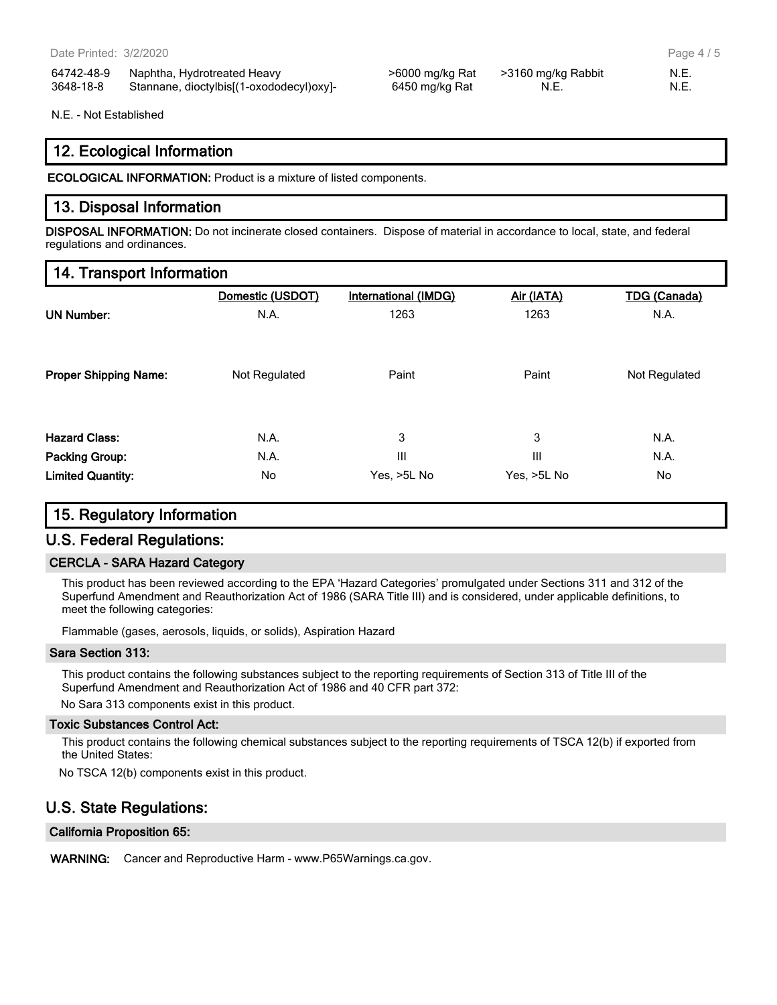| 64742-48-9 | Naphtha, Hydrotreated Heavy              |
|------------|------------------------------------------|
| 3648-18-8  | Stannane, dioctylbis[(1-oxododecyl)oxy]- |

>6000 mg/kg Rat >3160 mg/kg Rabbit N.E. 6450 mg/kg Rat N.E. N.E. N.E.

Page 4 / 5

N.E. - Not Established

## 12. Ecological Information

ECOLOGICAL INFORMATION: Product is a mixture of listed components.

## 13. Disposal Information

DISPOSAL INFORMATION: Do not incinerate closed containers. Dispose of material in accordance to local, state, and federal regulations and ordinances.

## 14. Transport Information

|                              | Domestic (USDOT) | <b>International (IMDG)</b> | Air (IATA)  | <b>TDG (Canada)</b> |
|------------------------------|------------------|-----------------------------|-------------|---------------------|
| <b>UN Number:</b>            | N.A.             | 1263                        | 1263        | N.A.                |
|                              |                  |                             |             |                     |
| <b>Proper Shipping Name:</b> | Not Regulated    | Paint                       | Paint       | Not Regulated       |
|                              |                  |                             |             |                     |
| <b>Hazard Class:</b>         | N.A.             | 3                           | 3           | N.A.                |
| <b>Packing Group:</b>        | N.A.             | III                         | Ш           | N.A.                |
| <b>Limited Quantity:</b>     | No               | Yes, >5L No                 | Yes, >5L No | No                  |

# 15. Regulatory Information

# U.S. Federal Regulations:

## CERCLA - SARA Hazard Category

This product has been reviewed according to the EPA 'Hazard Categories' promulgated under Sections 311 and 312 of the Superfund Amendment and Reauthorization Act of 1986 (SARA Title III) and is considered, under applicable definitions, to meet the following categories:

Flammable (gases, aerosols, liquids, or solids), Aspiration Hazard

#### Sara Section 313:

This product contains the following substances subject to the reporting requirements of Section 313 of Title III of the Superfund Amendment and Reauthorization Act of 1986 and 40 CFR part 372:

No Sara 313 components exist in this product.

#### Toxic Substances Control Act:

This product contains the following chemical substances subject to the reporting requirements of TSCA 12(b) if exported from the United States:

No TSCA 12(b) components exist in this product.

# U.S. State Regulations:

#### California Proposition 65:

WARNING: Cancer and Reproductive Harm - www.P65Warnings.ca.gov.